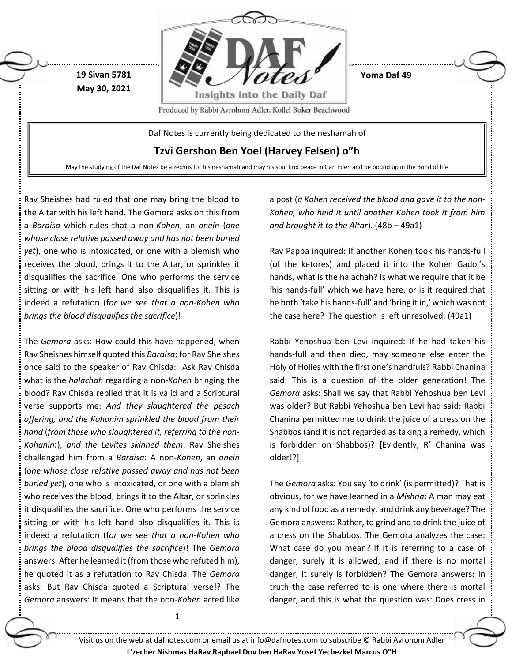

Rav Sheishes had ruled that one may bring the blood to the Altar with his left hand. The Gemora asks on this from a *Baraisa* which rules that a non-*Kohen*, an *onein* (*one whose close relative passed away and has not been buried yet*), one who is intoxicated, or one with a blemish who receives the blood, brings it to the Altar, or sprinkles it disqualifies the sacrifice. One who performs the service sitting or with his left hand also disqualifies it. This is indeed a refutation (f*or we see that a non-Kohen who brings the blood disqualifies the sacrifice*)!

The *Gemora* asks: How could this have happened, when Rav Sheishes himself quoted this *Baraisa*; for Rav Sheishes once said to the speaker of Rav Chisda: Ask Rav Chisda what is the *halachah* regarding a non-*Kohen* bringing the blood? Rav Chisda replied that it is valid and a Scriptural verse supports me: *And they slaughtered the pesach offering, and the Kohanim sprinkled the blood from their hand* (*from those who slaughtered it, referring to the non-Kohanim*), *and the Levites skinned them*. Rav Sheishes challenged him from a *Baraisa*: A non-*Kohen*, an *onein* (*one whose close relative passed away and has not been buried yet*), one who is intoxicated, or one with a blemish who receives the blood, brings it to the Altar, or sprinkles it disqualifies the sacrifice. One who performs the service sitting or with his left hand also disqualifies it. This is indeed a refutation (f*or we see that a non-Kohen who brings the blood disqualifies the sacrifice*)! The *Gemora* answers: After he learned it (from those who refuted him), he quoted it as a refutation to Rav Chisda. The *Gemora* asks: But Rav Chisda quoted a Scriptural verse!? The *Gemora* answers: It means that the non-*Kohen* acted like a post (*a Kohen received the blood and gave it to the non-Kohen, who held it until another Kohen took it from him and brought it to the Altar*). (48b – 49a1)

Rav Pappa inquired: If another Kohen took his hands-full (of the ketores) and placed it into the Kohen Gadol's hands, what is the halachah? Is what we require that it be 'his hands-full' which we have here, or is it required that he both 'take his hands-full' and 'bring it in,' which was not the case here? The question is left unresolved. (49a1)

Rabbi Yehoshua ben Levi inquired: If he had taken his hands-full and then died, may someone else enter the Holy of Holies with the first one's handfuls? Rabbi Chanina said: This is a question of the older generation! The *Gemora* asks: Shall we say that Rabbi Yehoshua ben Levi was older? But Rabbi Yehoshua ben Levi had said: Rabbi Chanina permitted me to drink the juice of a cress on the Shabbos (and it is not regarded as taking a remedy, which is forbidden on Shabbos)? [Evidently, R' Chanina was older!?]

The *Gemora* asks: You say 'to drink' (is permitted)? That is obvious, for we have learned in a *Mishna*: A man may eat any kind of food as a remedy, and drink any beverage? The Gemora answers: Rather, to grind and to drink the juice of a cress on the Shabbos. The Gemora analyzes the case: What case do you mean? If it is referring to a case of danger, surely it is allowed; and if there is no mortal danger, it surely is forbidden? The Gemora answers: In truth the case referred to is one where there is mortal danger, and this is what the question was: Does cress in

- 1 -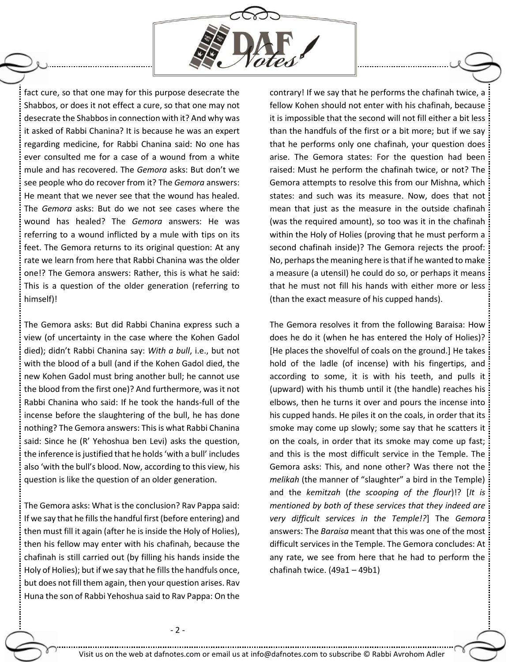

fact cure, so that one may for this purpose desecrate the Shabbos, or does it not effect a cure, so that one may not desecrate the Shabbosin connection with it? And why was it asked of Rabbi Chanina? It is because he was an expert regarding medicine, for Rabbi Chanina said: No one has ever consulted me for a case of a wound from a white mule and has recovered. The *Gemora* asks: But don't we see people who do recover from it? The *Gemora* answers: He meant that we never see that the wound has healed. The *Gemora* asks: But do we not see cases where the wound has healed? The *Gemora* answers: He was referring to a wound inflicted by a mule with tips on its feet. The Gemora returns to its original question: At any rate we learn from here that Rabbi Chanina was the older one!? The Gemora answers: Rather, this is what he said: This is a question of the older generation (referring to himself)!

The Gemora asks: But did Rabbi Chanina express such a view (of uncertainty in the case where the Kohen Gadol died); didn't Rabbi Chanina say: *With a bull*, i.e., but not with the blood of a bull (and if the Kohen Gadol died, the new Kohen Gadol must bring another bull; he cannot use the blood from the first one)? And furthermore, was it not Rabbi Chanina who said: If he took the hands-full of the incense before the slaughtering of the bull, he has done nothing? The Gemora answers: This is what Rabbi Chanina said: Since he (R' Yehoshua ben Levi) asks the question, the inference is justified that he holds 'with a bull' includes also 'with the bull's blood. Now, according to this view, his question is like the question of an older generation.

The Gemora asks: What is the conclusion? Rav Pappa said: If we say that he fills the handful first (before entering) and then must fill it again (after he is inside the Holy of Holies), then his fellow may enter with his chafinah, because the chafinah is still carried out (by filling his hands inside the Holy of Holies); but if we say that he fills the handfuls once, but does not fill them again, then your question arises. Rav Huna the son of Rabbi Yehoshua said to Rav Pappa: On the contrary! If we say that he performs the chafinah twice, a fellow Kohen should not enter with his chafinah, because it is impossible that the second will not fill either a bit less than the handfuls of the first or a bit more; but if we say that he performs only one chafinah, your question does arise. The Gemora states: For the question had been raised: Must he perform the chafinah twice, or not? The Gemora attempts to resolve this from our Mishna, which states: and such was its measure. Now, does that not mean that just as the measure in the outside chafinah (was the required amount), so too was it in the chafinah within the Holy of Holies (proving that he must perform a second chafinah inside)? The Gemora rejects the proof: No, perhaps the meaning here is that if he wanted to make a measure (a utensil) he could do so, or perhaps it means that he must not fill his hands with either more or less (than the exact measure of his cupped hands).

The Gemora resolves it from the following Baraisa: How does he do it (when he has entered the Holy of Holies)? [He places the shovelful of coals on the ground.] He takes hold of the ladle (of incense) with his fingertips, and according to some, it is with his teeth, and pulls it (upward) with his thumb until it (the handle) reaches his elbows, then he turns it over and pours the incense into his cupped hands. He piles it on the coals, in order that its smoke may come up slowly; some say that he scatters it on the coals, in order that its smoke may come up fast; and this is the most difficult service in the Temple. The Gemora asks: This, and none other? Was there not the *melikah* (the manner of "slaughter" a bird in the Temple) and the *kemitzah* (*the scooping of the flour*)!? [*It is mentioned by both of these services that they indeed are very difficult services in the Temple!?*] The *Gemora* answers: The *Baraisa* meant that this was one of the most difficult services in the Temple. The Gemora concludes: At any rate, we see from here that he had to perform the chafinah twice. (49a1 – 49b1)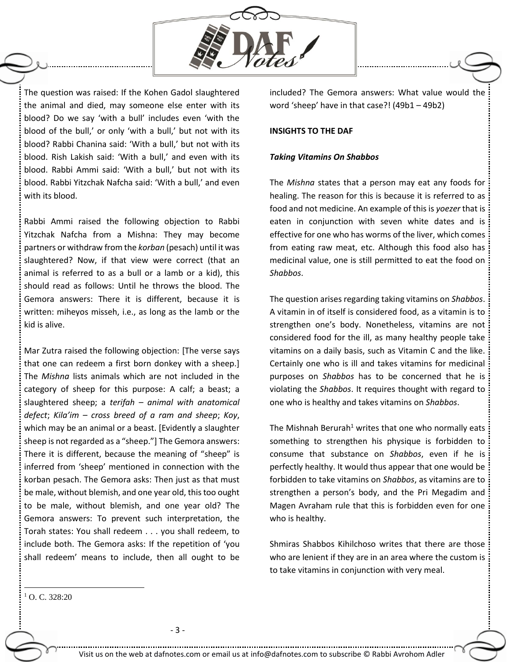

The question was raised: If the Kohen Gadol slaughtered the animal and died, may someone else enter with its blood? Do we say 'with a bull' includes even 'with the blood of the bull,' or only 'with a bull,' but not with its blood? Rabbi Chanina said: 'With a bull,' but not with its blood. Rish Lakish said: 'With a bull,' and even with its blood. Rabbi Ammi said: 'With a bull,' but not with its blood. Rabbi Yitzchak Nafcha said: 'With a bull,' and even with its blood.

Rabbi Ammi raised the following objection to Rabbi Yitzchak Nafcha from a Mishna: They may become partners or withdraw from the *korban* (pesach) until it was slaughtered? Now, if that view were correct (that an animal is referred to as a bull or a lamb or a kid), this should read as follows: Until he throws the blood. The Gemora answers: There it is different, because it is written: miheyos misseh, i.e., as long as the lamb or the kid is alive.

Mar Zutra raised the following objection: [The verse says that one can redeem a first born donkey with a sheep.] The *Mishna* lists animals which are not included in the category of sheep for this purpose: A calf; a beast; a slaughtered sheep; a *terifah – animal with anatomical defect*; *Kila'im – cross breed of a ram and sheep*; *Koy*, which may be an animal or a beast. [Evidently a slaughter sheep is not regarded as a "sheep."] The Gemora answers: There it is different, because the meaning of "sheep" is inferred from 'sheep' mentioned in connection with the korban pesach. The Gemora asks: Then just as that must be male, without blemish, and one year old, this too ought to be male, without blemish, and one year old? The Gemora answers: To prevent such interpretation, the Torah states: You shall redeem . . . you shall redeem, to include both. The Gemora asks: If the repetition of 'you shall redeem' means to include, then all ought to be

included? The Gemora answers: What value would the word 'sheep' have in that case?! (49b1 – 49b2)

## **INSIGHTS TO THE DAF**

## *Taking Vitamins On Shabbos*

The *Mishna* states that a person may eat any foods for healing. The reason for this is because it is referred to as food and not medicine. An example of this is *yoezer* that is eaten in conjunction with seven white dates and is effective for one who has worms of the liver, which comes from eating raw meat, etc. Although this food also has medicinal value, one is still permitted to eat the food on *Shabbos*.

The question arises regarding taking vitamins on *Shabbos*. A vitamin in of itself is considered food, as a vitamin is to strengthen one's body. Nonetheless, vitamins are not considered food for the ill, as many healthy people take vitamins on a daily basis, such as Vitamin C and the like. Certainly one who is ill and takes vitamins for medicinal purposes on *Shabbos* has to be concerned that he is violating the *Shabbos*. It requires thought with regard to one who is healthy and takes vitamins on *Shabbos*.

The Mishnah Berurah<sup>1</sup> writes that one who normally eats something to strengthen his physique is forbidden to consume that substance on *Shabbos*, even if he is perfectly healthy. It would thus appear that one would be forbidden to take vitamins on *Shabbos*, as vitamins are to strengthen a person's body, and the Pri Megadim and Magen Avraham rule that this is forbidden even for one who is healthy.

Shmiras Shabbos Kihilchoso writes that there are those who are lenient if they are in an area where the custom is to take vitamins in conjunction with very meal.

<sup>1</sup> O. C. 328:20

 $\overline{a}$